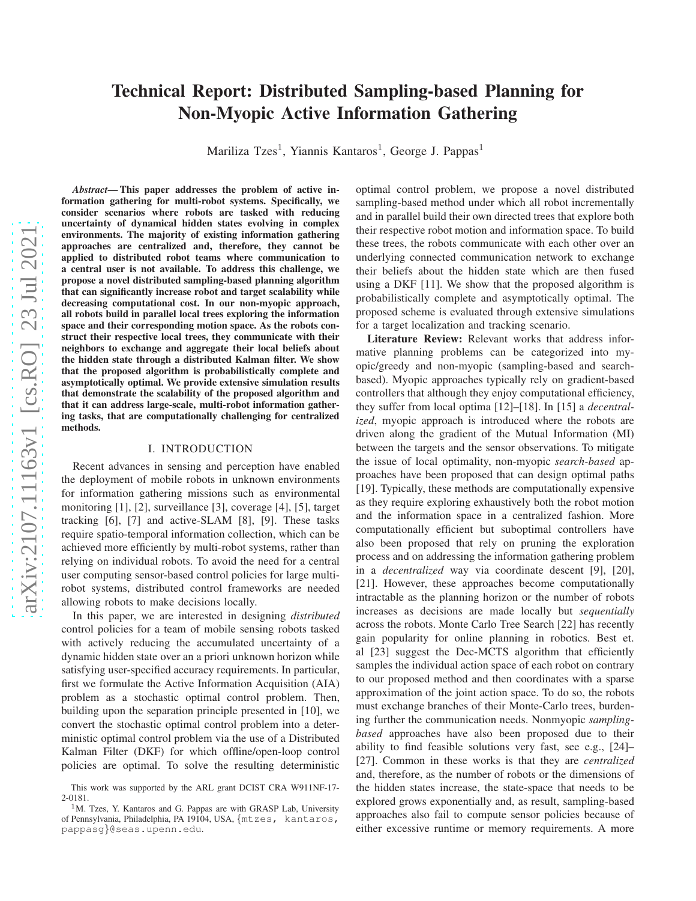# Technical Report: Distributed Sampling-based Planning for Non-Myopic Active Information Gathering

Mariliza Tzes<sup>1</sup>, Yiannis Kantaros<sup>1</sup>, George J. Pappas<sup>1</sup>

*Abstract*— This paper addresses the problem of active information gathering for multi-robot systems. Specifically, we consider scenarios where robots are tasked with reducing uncertainty of dynamical hidden states evolving in complex environments. The majority of existing information gathering approaches are centralized and, therefore, they cannot be applied to distributed robot teams where communication to a central user is not available. To address this challenge, we propose a novel distributed sampling-based planning algorithm that can significantly increase robot and target scalability while decreasing computational cost. In our non-myopic approach, all robots build in parallel local trees exploring the information space and their corresponding motion space. As the robots construct their respective local trees, they communicate with their neighbors to exchange and aggregate their local beliefs about the hidden state through a distributed Kalman filter. We show that the proposed algorithm is probabilistically complete and asymptotically optimal. We provide extensive simulation results that demonstrate the scalability of the proposed algorithm and that it can address large-scale, multi-robot information gathering tasks, that are computationally challenging for centralized methods.

#### I. INTRODUCTION

Recent advances in sensing and perception have enabled the deployment of mobile robots in unknown environments for information gathering missions such as environmental monitoring [1], [2], surveillance [3], coverage [4], [5], target tracking [6], [7] and active-SLAM [8], [9]. These tasks require spatio-temporal information collection, which can be achieved more efficiently by multi-robot systems, rather than relying on individual robots. To avoid the need for a central user computing sensor-based control policies for large multirobot systems, distributed control frameworks are needed allowing robots to make decisions locally.

In this paper, we are interested in designing *distributed* control policies for a team of mobile sensing robots tasked with actively reducing the accumulated uncertainty of a dynamic hidden state over an a priori unknown horizon while satisfying user-specified accuracy requirements. In particular, first we formulate the Active Information Acquisition (AIA) problem as a stochastic optimal control problem. Then, building upon the separation principle presented in [10], we convert the stochastic optimal control problem into a deterministic optimal control problem via the use of a Distributed Kalman Filter (DKF) for which offline/open-loop control policies are optimal. To solve the resulting deterministic

optimal control problem, we propose a novel distributed sampling-based method under which all robot incrementally and in parallel build their own directed trees that explore both their respective robot motion and information space. To build these trees, the robots communicate with each other over an underlying connected communication network to exchange their beliefs about the hidden state which are then fused using a DKF [11]. We show that the proposed algorithm is probabilistically complete and asymptotically optimal. The proposed scheme is evaluated through extensive simulations for a target localization and tracking scenario.

Literature Review: Relevant works that address informative planning problems can be categorized into myopic/greedy and non-myopic (sampling-based and searchbased). Myopic approaches typically rely on gradient-based controllers that although they enjoy computational efficiency, they suffer from local optima [12]–[18]. In [15] a *decentralized*, myopic approach is introduced where the robots are driven along the gradient of the Mutual Information (MI) between the targets and the sensor observations. To mitigate the issue of local optimality, non-myopic *search-based* approaches have been proposed that can design optimal paths [19]. Typically, these methods are computationally expensive as they require exploring exhaustively both the robot motion and the information space in a centralized fashion. More computationally efficient but suboptimal controllers have also been proposed that rely on pruning the exploration process and on addressing the information gathering problem in a *decentralized* way via coordinate descent [9], [20], [21]. However, these approaches become computationally intractable as the planning horizon or the number of robots increases as decisions are made locally but *sequentially* across the robots. Monte Carlo Tree Search [22] has recently gain popularity for online planning in robotics. Best et. al [23] suggest the Dec-MCTS algorithm that efficiently samples the individual action space of each robot on contrary to our proposed method and then coordinates with a sparse approximation of the joint action space. To do so, the robots must exchange branches of their Monte-Carlo trees, burdening further the communication needs. Nonmyopic *samplingbased* approaches have also been proposed due to their ability to find feasible solutions very fast, see e.g., [24]– [27]. Common in these works is that they are *centralized* and, therefore, as the number of robots or the dimensions of the hidden states increase, the state-space that needs to be explored grows exponentially and, as result, sampling-based approaches also fail to compute sensor policies because of either excessive runtime or memory requirements. A more

This work was supported by the ARL grant DCIST CRA W911NF-17- 2-0181.

<sup>&</sup>lt;sup>1</sup>M. Tzes, Y. Kantaros and G. Pappas are with GRASP Lab, University of Pennsylvania, Philadelphia, PA 19104, USA, {mtzes, kantaros, pappasg}@seas.upenn.edu.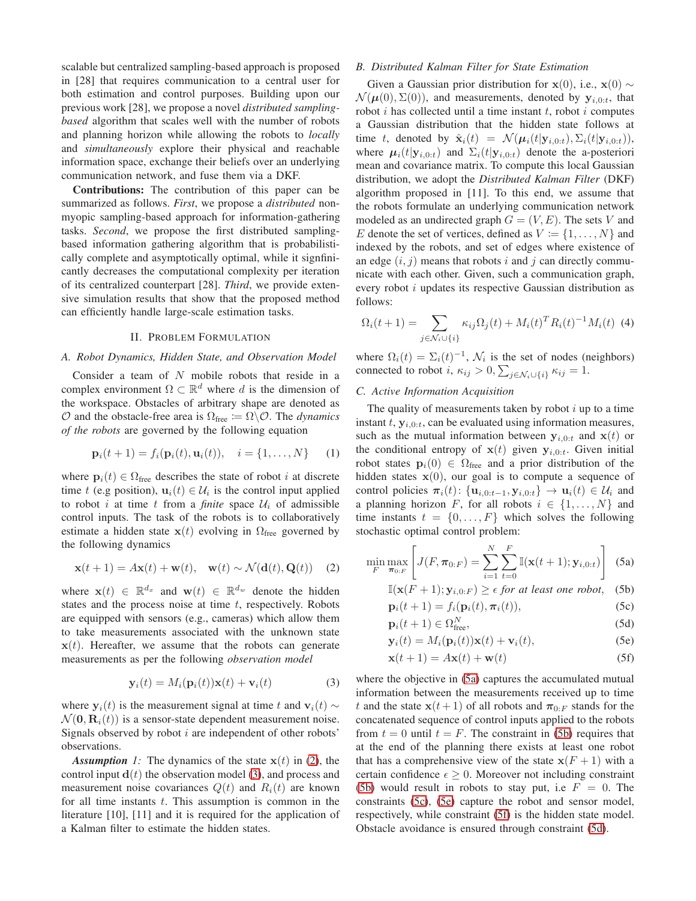scalable but centralized sampling-based approach is proposed in [28] that requires communication to a central user for both estimation and control purposes. Building upon our previous work [28], we propose a novel *distributed samplingbased* algorithm that scales well with the number of robots and planning horizon while allowing the robots to *locally* and *simultaneously* explore their physical and reachable information space, exchange their beliefs over an underlying communication network, and fuse them via a DKF.

Contributions: The contribution of this paper can be summarized as follows. *First*, we propose a *distributed* nonmyopic sampling-based approach for information-gathering tasks. *Second*, we propose the first distributed samplingbased information gathering algorithm that is probabilistically complete and asymptotically optimal, while it signfinicantly decreases the computational complexity per iteration of its centralized counterpart [28]. *Third*, we provide extensive simulation results that show that the proposed method can efficiently handle large-scale estimation tasks.

### II. PROBLEM FORMULATION

## *A. Robot Dynamics, Hidden State, and Observation Model*

Consider a team of N mobile robots that reside in a complex environment  $\Omega \subset \mathbb{R}^d$  where d is the dimension of the workspace. Obstacles of arbitrary shape are denoted as  $O$  and the obstacle-free area is  $\Omega_{\text{free}} := \Omega \backslash O$ . The *dynamics of the robots* are governed by the following equation

$$
\mathbf{p}_i(t+1) = f_i(\mathbf{p}_i(t), \mathbf{u}_i(t)), \quad i = \{1, ..., N\} \tag{1}
$$

where  $p_i(t) \in \Omega$ <sub>free</sub> describes the state of robot *i* at discrete time t (e.g position),  $\mathbf{u}_i(t) \in \mathcal{U}_i$  is the control input applied to robot i at time t from a *finite* space  $U_i$  of admissible control inputs. The task of the robots is to collaboratively estimate a hidden state  $x(t)$  evolving in  $\Omega$ <sub>free</sub> governed by the following dynamics

$$
\mathbf{x}(t+1) = A\mathbf{x}(t) + \mathbf{w}(t), \quad \mathbf{w}(t) \sim \mathcal{N}(\mathbf{d}(t), \mathbf{Q}(t)) \quad (2)
$$

where  $\mathbf{x}(t) \in \mathbb{R}^{d_x}$  and  $\mathbf{w}(t) \in \mathbb{R}^{d_w}$  denote the hidden states and the process noise at time  $t$ , respectively. Robots are equipped with sensors (e.g., cameras) which allow them to take measurements associated with the unknown state  $x(t)$ . Hereafter, we assume that the robots can generate measurements as per the following *observation model*

$$
\mathbf{y}_i(t) = M_i(\mathbf{p}_i(t))\mathbf{x}(t) + \mathbf{v}_i(t) \tag{3}
$$

where  $y_i(t)$  is the measurement signal at time t and  $v_i(t) \sim$  $\mathcal{N}(\mathbf{0}, \mathbf{R}_i(t))$  is a sensor-state dependent measurement noise. Signals observed by robot  $i$  are independent of other robots' observations.

*Assumption 1:* The dynamics of the state  $x(t)$  in [\(2\)](#page-1-0), the control input  $\mathbf{d}(t)$  the observation model [\(3\)](#page-1-1), and process and measurement noise covariances  $Q(t)$  and  $R_i(t)$  are known for all time instants  $t$ . This assumption is common in the literature [10], [11] and it is required for the application of a Kalman filter to estimate the hidden states.

# *B. Distributed Kalman Filter for State Estimation*

Given a Gaussian prior distribution for  $\mathbf{x}(0)$ , i.e.,  $\mathbf{x}(0) \sim$  $\mathcal{N}(\boldsymbol{\mu}(0), \Sigma(0))$ , and measurements, denoted by  $\mathbf{y}_{i,0:t}$ , that robot  $i$  has collected until a time instant  $t$ , robot  $i$  computes a Gaussian distribution that the hidden state follows at time t, denoted by  $\hat{\mathbf{x}}_i(t) = \mathcal{N}(\boldsymbol{\mu}_i(t|\mathbf{y}_{i,0:t}), \Sigma_i(t|\mathbf{y}_{i,0:t})),$ where  $\mu_i(t|\mathbf{y}_{i,0:t})$  and  $\Sigma_i(t|\mathbf{y}_{i,0:t})$  denote the a-posteriori mean and covariance matrix. To compute this local Gaussian distribution, we adopt the *Distributed Kalman Filter* (DKF) algorithm proposed in [11]. To this end, we assume that the robots formulate an underlying communication network modeled as an undirected graph  $G = (V, E)$ . The sets V and E denote the set of vertices, defined as  $V := \{1, \ldots, N\}$  and indexed by the robots, and set of edges where existence of an edge  $(i, j)$  means that robots i and j can directly communicate with each other. Given, such a communication graph, every robot i updates its respective Gaussian distribution as follows:

<span id="page-1-9"></span>
$$
\Omega_i(t+1) = \sum_{j \in \mathcal{N}_i \cup \{i\}} \kappa_{ij} \Omega_j(t) + M_i(t)^T R_i(t)^{-1} M_i(t)
$$
 (4)

where  $\Omega_i(t) = \Sigma_i(t)^{-1}$ ,  $\mathcal{N}_i$  is the set of nodes (neighbors) connected to robot  $i, \kappa_{ij} > 0, \sum_{j \in \mathcal{N}_i \cup \{i\}} \kappa_{ij} = 1.$ 

# *C. Active Information Acquisition*

<span id="page-1-10"></span>The quality of measurements taken by robot  $i$  up to a time instant t,  $y_{i,0:t}$ , can be evaluated using information measures, such as the mutual information between  $y_{i,0:t}$  and  $x(t)$  or the conditional entropy of  $x(t)$  given  $y_{i,0:t}$ . Given initial robot states  $p_i(0) \in \Omega$ <sub>free</sub> and a prior distribution of the hidden states  $x(0)$ , our goal is to compute a sequence of control policies  $\pi_i(t)$ : { $\mathbf{u}_{i,0:t-1}, \mathbf{y}_{i,0:t}$ }  $\rightarrow \mathbf{u}_i(t) \in \mathcal{U}_i$  and a planning horizon F, for all robots  $i \in \{1, \ldots, N\}$  and time instants  $t = \{0, \ldots, F\}$  which solves the following stochastic optimal control problem:

<span id="page-1-0"></span>
$$
\min_{F} \max_{\boldsymbol{\pi}_{0:F}} \left[ J(F, \boldsymbol{\pi}_{0:F}) = \sum_{i=1}^{N} \sum_{t=0}^{F} \mathbb{I}(\mathbf{x}(t+1); \mathbf{y}_{i,0:t}) \right] (5a)
$$

<span id="page-1-8"></span><span id="page-1-3"></span><span id="page-1-2"></span>
$$
\mathbb{I}(\mathbf{x}(F+1); \mathbf{y}_{i,0:F}) \ge \epsilon \text{ for at least one robot}, \quad (5b)
$$

<span id="page-1-4"></span>
$$
\mathbf{p}_i(t+1) = f_i(\mathbf{p}_i(t), \boldsymbol{\pi}_i(t)), \tag{5c}
$$

<span id="page-1-7"></span>
$$
\mathbf{p}_i(t+1) \in \Omega_{\text{free}}^N,\tag{5d}
$$

<span id="page-1-5"></span>
$$
\mathbf{y}_i(t) = M_i(\mathbf{p}_i(t))\mathbf{x}(t) + \mathbf{v}_i(t),
$$
\n(5e)

<span id="page-1-6"></span>
$$
\mathbf{x}(t+1) = A\mathbf{x}(t) + \mathbf{w}(t)
$$
 (5f)

<span id="page-1-1"></span>where the objective in [\(5a\)](#page-1-2) captures the accumulated mutual information between the measurements received up to time t and the state  $x(t+1)$  of all robots and  $\pi_{0:F}$  stands for the concatenated sequence of control inputs applied to the robots from  $t = 0$  until  $t = F$ . The constraint in [\(5b\)](#page-1-3) requires that at the end of the planning there exists at least one robot that has a comprehensive view of the state  $x(F + 1)$  with a certain confidence  $\epsilon \geq 0$ . Moreover not including constraint [\(5b\)](#page-1-3) would result in robots to stay put, i.e  $F = 0$ . The constraints [\(5c\)](#page-1-4), [\(5e\)](#page-1-5) capture the robot and sensor model, respectively, while constraint [\(5f\)](#page-1-6) is the hidden state model. Obstacle avoidance is ensured through constraint [\(5d\)](#page-1-7).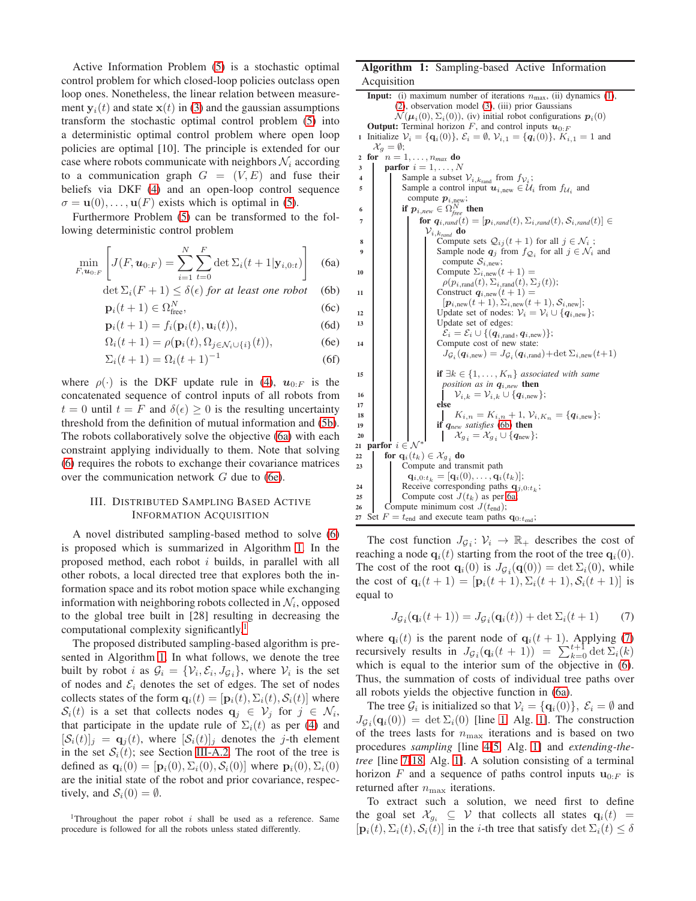Active Information Problem [\(5\)](#page-1-8) is a stochastic optimal control problem for which closed-loop policies outclass open loop ones. Nonetheless, the linear relation between measurement  $y_i(t)$  and state  $x(t)$  in [\(3\)](#page-1-1) and the gaussian assumptions transform the stochastic optimal control problem [\(5\)](#page-1-8) into a deterministic optimal control problem where open loop policies are optimal [10]. The principle is extended for our case where robots communicate with neighbors  $\mathcal{N}_i$  according to a communication graph  $G = (V, E)$  and fuse their beliefs via DKF [\(4\)](#page-1-9) and an open-loop control sequence  $\sigma = \mathbf{u}(0), \dots, \mathbf{u}(F)$  exists which is optimal in [\(5\)](#page-1-8).

Furthermore Problem [\(5\)](#page-1-8) can be transformed to the following deterministic control problem

$$
\min_{F, \mathbf{u}_{0:F}} \left[ J(F, \mathbf{u}_{0:F}) = \sum_{i=1}^{N} \sum_{t=0}^{F} \det \Sigma_i(t+1 | \mathbf{y}_{i,0:t}) \right]
$$
(6a)

<span id="page-2-1"></span>
$$
\det \Sigma_i (F+1) \le \delta(\epsilon) \text{ for at least one robot} \quad (6b)
$$

$$
\mathbf{p}_i(t+1) \in \Omega_{\text{free}}^N,\tag{6c}
$$

$$
\mathbf{p}_i(t+1) = f_i(\mathbf{p}_i(t), \mathbf{u}_i(t)),\tag{6d}
$$

$$
\Omega_i(t+1) = \rho(\mathbf{p}_i(t), \Omega_{j \in \mathcal{N}_i \cup \{i\}}(t)),\tag{6e}
$$

$$
\Sigma_i(t+1) = \Omega_i(t+1)^{-1}
$$
 (6f)

where  $\rho(\cdot)$  is the DKF update rule in [\(4\)](#page-1-9),  $u_{0,F}$  is the concatenated sequence of control inputs of all robots from  $t = 0$  until  $t = F$  and  $\delta(\epsilon) \ge 0$  is the resulting uncertainty threshold from the definition of mutual information and [\(5b\)](#page-1-3). The robots collaboratively solve the objective [\(6a\)](#page-2-0) with each constraint applying individually to them. Note that solving [\(6\)](#page-2-1) requires the robots to exchange their covariance matrices over the communication network G due to [\(6e\)](#page-2-2).

# <span id="page-2-26"></span>III. DISTRIBUTED SAMPLING BASED ACTIVE INFORMATION ACQUISITION

A novel distributed sampling-based method to solve [\(6\)](#page-2-1) is proposed which is summarized in Algorithm [1.](#page-2-3) In the proposed method, each robot i builds, in parallel with all other robots, a local directed tree that explores both the information space and its robot motion space while exchanging information with neighboring robots collected in  $\mathcal{N}_i$ , opposed to the global tree built in [28] resulting in decreasing the computational complexity significantly.[1](#page-2-4)

The proposed distributed sampling-based algorithm is presented in Algorithm [1.](#page-2-3) In what follows, we denote the tree built by robot *i* as  $G_i = \{V_i, \mathcal{E}_i, J_{\mathcal{G}_i}\}$ , where  $V_i$  is the set of nodes and  $\mathcal{E}_i$  denotes the set of edges. The set of nodes collects states of the form  $\mathbf{q}_i(t) = [\mathbf{p}_i(t), \Sigma_i(t), \mathcal{S}_i(t)]$  where  $\mathcal{S}_i(t)$  is a set that collects nodes  $\mathbf{q}_j \in \mathcal{V}_j$  for  $j \in \mathcal{N}_i$ , that participate in the update rule of  $\Sigma_i(t)$  as per [\(4\)](#page-1-9) and  $[\mathcal{S}_i(t)]_j = \mathbf{q}_j(t)$ , where  $[\mathcal{S}_i(t)]_j$  denotes the j-th element in the set  $S_i(t)$ ; see Section [III-A.2.](#page-3-0) The root of the tree is defined as  $\mathbf{q}_i(0) = [\mathbf{p}_i(0), \Sigma_i(0), \mathcal{S}_i(0)]$  where  $\mathbf{p}_i(0), \Sigma_i(0)$ are the initial state of the robot and prior covariance, respectively, and  $S_i(0) = \emptyset$ .

# Algorithm 1: Sampling-based Active Information Acquisition

```
Input: (i) maximum number of iterations n_{\text{max}} (1),
             (2), observation model (3), (iii) prior Gaussians
             \mathcal{N}(\boldsymbol{\mu}_i(0), \Sigma_i(0)), (iv) initial robot configurations \boldsymbol{p}_i(0)Output: Terminal horizon F, and control inputs u_{0:F}1 Initialize V_i = {\mathbf{q}_i(0)}, \mathcal{E}_i = \emptyset, V_{i,1} = {\mathbf{q}_i(0)}, K_{i,1} = 1 and
     \mathcal{X}_g = \emptyset;2 for n = 1, \ldots, n_{max} do
3 parfor i = 1, \ldots, N4 Sample a subset \mathcal{V}_{i,k_{\text{rand}}} from f_{\mathcal{V}_i};
 5 Sample a control input u_{i,\text{new}} \in \mathcal{U}_i from f_{\mathcal{U}_i} and
                  compute p_{i, new};
 6 if p_{i,new} \in \Omega_{free}^N then
 7 for q_{i, rand}(t) = [\boldsymbol{p}_{i, rand}(t), \Sigma_{i, rand}(t), \mathcal{S}_{i, rand}(t)] \in\mathcal{V}_{i,k_{rand}} do
 8 Compute sets Q_{ij}(t+1) for all j \in \mathcal{N}_i;
  9 Sample node q_j from f_{\mathcal{Q}_i} for all j \in \mathcal{N}_i and
                             compute \mathcal{S}_{i,\text{new}};
10 | | | Compute \Sigma_{i,\text{new}}(t+1) =\rho(p_{i, \text{rand}}(t), \Sigma_{i, \text{rand}}(t), \Sigma_{j}(t));11 | Construct q_{i,\text{new}}(t+1) =[p_{i,\text{new}}(t+1), \Sigma_{i,\text{new}}(t+1), S_{i,\text{new}}];12 Update set of nodes: V_i = V_i \cup \{q_{i, new}\};13 | | | Update set of edges:
                              \mathcal{E}_i = \mathcal{E}_i \cup \{(\mathbf{q}_{i,\text{rand}}, \mathbf{q}_{i,\text{new}})\};14 | | | Compute cost of new state:
                              J_{\mathcal{G}_i}(\boldsymbol{q}_{i,\text{new}}) = J_{\mathcal{G}_i}(\boldsymbol{q}_{i,\text{rand}}) + \det \Sigma_{i,\text{new}}(t+1)15 if \exists k \in \{1, ..., K_n\} associated with same
                              position as in q_{i,new} then
16 V_{i,k} = V_{i,k} \cup \{q_{i,\text{new}}\};<br>17
                           else
 18 (6b) then}\n\end{cases}20 \Box \Box \Box \Box \Box \Box \mathcal{X}_{g_i} = \mathcal{X}_{g_i} \cup \{q_{\text{new}}\};21 parfor i \in \mathcal{N}^*<br>22 for q_i(t_k)22 for \mathbf{q}_i(t_k) \in \mathcal{X}_{g_i} do
23 Compute and transmit path
                  {\bf q}_{i,0:t_k} = [{\bf q}_i(0),\ldots,{\bf q}_i(t_k)];24 Receive corresponding paths \mathbf{q}_{j,0:t_k};
25 Compute cost J(t_k) 6a;
26 Compute minimum cost J(t_{end});
27 Set F = t_{end} and execute team paths \mathbf{q}_{0:t_{end}};
```
<span id="page-2-27"></span><span id="page-2-25"></span><span id="page-2-24"></span><span id="page-2-17"></span><span id="page-2-16"></span><span id="page-2-15"></span><span id="page-2-14"></span><span id="page-2-13"></span><span id="page-2-12"></span><span id="page-2-11"></span><span id="page-2-2"></span>The cost function  $J_{\mathcal{G}_i}: \mathcal{V}_i \to \mathbb{R}_+$  describes the cost of reaching a node  $\mathbf{q}_i(t)$  starting from the root of the tree  $\mathbf{q}_i(0)$ . The cost of the root  $\mathbf{q}_i(0)$  is  $J_{\mathcal{G}_i}(\mathbf{q}(0)) = \det \Sigma_i(0)$ , while the cost of  ${\bf q}_i(t+1) = [{\bf p}_i(t+1), \Sigma_i(t+1), S_i(t+1)]$  is equal to

<span id="page-2-6"></span>
$$
J_{\mathcal{G}_i}(\mathbf{q}_i(t+1)) = J_{\mathcal{G}_i}(\mathbf{q}_i(t)) + \det \Sigma_i(t+1)
$$
 (7)

where  $\mathbf{q}_i(t)$  is the parent node of  $\mathbf{q}_i(t+1)$ . Applying [\(7\)](#page-2-6) recursively results in  $J_{\mathcal{G}_i}(\mathbf{q}_i(t+1)) = \sum_{k=0}^{t+1} \det \Sigma_i(k)$ which is equal to the interior sum of the objective in [\(6\)](#page-2-1). Thus, the summation of costs of individual tree paths over all robots yields the objective function in [\(6a\)](#page-2-0).

The tree  $\mathcal{G}_i$  is initialized so that  $\mathcal{V}_i = {\mathbf{q}_i(0)}$ ,  $\mathcal{E}_i = \emptyset$  and  $J_{\mathcal{G}_i}(\mathbf{q}_i(0)) = \det \Sigma_i(0)$  [line [1,](#page-2-7) Alg. [1\]](#page-2-3). The construction of the trees lasts for  $n_{\text{max}}$  iterations and is based on two procedures *sampling* [line [4-](#page-2-8)[5,](#page-2-9) Alg. [1\]](#page-2-3) and *extending-thetree* [line [7](#page-2-10)[-18,](#page-2-11) Alg. [1\]](#page-2-3). A solution consisting of a terminal horizon F and a sequence of paths control inputs  $\mathbf{u}_{0:F}$  is returned after  $n_{\text{max}}$  iterations.

To extract such a solution, we need first to define the goal set  $\mathcal{X}_{g_i} \subseteq \mathcal{V}$  that collects all states  $\mathbf{q}_i(t)$  =  $[p_i(t), \Sigma_i(t), S_i(t)]$  in the *i*-th tree that satisfy  $\det \Sigma_i(t) \leq \delta$ 

<span id="page-2-4"></span><sup>&</sup>lt;sup>1</sup>Throughout the paper robot  $i$  shall be used as a reference. Same procedure is followed for all the robots unless stated differently.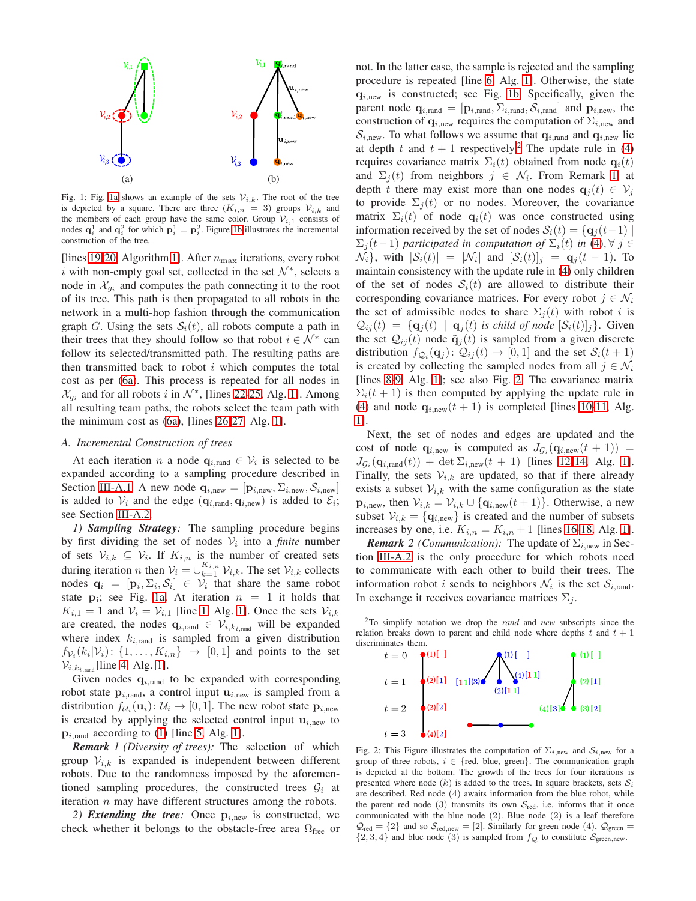<span id="page-3-1"></span>

Fig. 1: Fig. [1a](#page-3-1) shows an example of the sets  $\mathcal{V}_{i,k}$ . The root of the tree is depicted by a square. There are three  $(K_{i,n} = 3)$  groups  $\mathcal{V}_{i,k}$  and the members of each group have the same color. Group  $V_{i,1}$  consists of nodes  $\mathbf{q}_i^1$  and  $\mathbf{q}_i^2$  for which  $\mathbf{p}_i^1 = \mathbf{p}_i^2$ . Figure [1b](#page-3-1) illustrates the incremental construction of the tree.

[lines [19-](#page-2-12)[20,](#page-2-13) Algorithm [1\]](#page-2-3). After  $n_{\text{max}}$  iterations, every robot i with non-empty goal set, collected in the set  $\mathcal{N}^*$ , selects a node in  $\mathcal{X}_{g_i}$  and computes the path connecting it to the root of its tree. This path is then propagated to all robots in the network in a multi-hop fashion through the communication graph G. Using the sets  $S_i(t)$ , all robots compute a path in their trees that they should follow so that robot  $i \in \mathcal{N}^*$  can follow its selected/transmitted path. The resulting paths are then transmitted back to robot  $i$  which computes the total cost as per [\(6a\)](#page-2-0). This process is repeated for all nodes in  $\mathcal{X}_{g_i}$  and for all robots i in  $\mathcal{N}^*$ , [lines [22](#page-2-14)[-25,](#page-2-15) Alg. [1\]](#page-2-3). Among all resulting team paths, the robots select the team path with the minimum cost as [\(6a\)](#page-2-0), [lines [26](#page-2-16)[-27,](#page-2-17) Alg. [1\]](#page-2-3).

## *A. Incremental Construction of trees*

At each iteration *n* a node  $q_{i, \text{rand}} \in V_i$  is selected to be expanded according to a sampling procedure described in Section [III-A.1.](#page-3-2) A new node  $\mathbf{q}_{i,\text{new}} = [\mathbf{p}_{i,\text{new}}, \Sigma_{i,\text{new}}, \mathcal{S}_{i,\text{new}}]$ is added to  $V_i$  and the edge  $(\mathbf{q}_{i,\text{rand}}, \mathbf{q}_{i,\text{new}})$  is added to  $\mathcal{E}_i$ ; see Section [III-A.2.](#page-3-0)

<span id="page-3-2"></span>*1) Sampling Strategy:* The sampling procedure begins by first dividing the set of nodes  $V_i$  into a *finite* number of sets  $V_{i,k} \subseteq V_i$ . If  $K_{i,n}$  is the number of created sets during iteration *n* then  $V_i = \bigcup_{k=1}^{K_{i,n}} V_{i,k}$ . The set  $V_{i,k}$  collects nodes  $\mathbf{q}_i = [\mathbf{p}_i, \Sigma_i, \mathcal{S}_i] \in \mathcal{V}_i$  that share the same robot state  $\mathbf{p_i}$ ; see Fig. [1a.](#page-3-1) At iteration  $n = 1$  it holds that  $K_{i,1} = 1$  and  $V_i = V_{i,1}$  [line [1,](#page-2-7) Alg. [1\]](#page-2-3). Once the sets  $V_{i,k}$ are created, the nodes  $\mathbf{q}_{i,\text{rand}} \in \mathcal{V}_{i,k_{i,\text{rand}}}$  will be expanded where index  $k_{i, \text{rand}}$  is sampled from a given distribution  $f_{\mathcal{V}_i}(k_i|\mathcal{V}_i)$ :  $\{1,\ldots,K_{i,n}\}\rightarrow [0,1]$  and points to the set  $\mathcal{V}_{i,k_i,\text{rand}}$  [line [4,](#page-2-8) Alg. [1\]](#page-2-3).

Given nodes  $q_{i, \text{rand}}$  to be expanded with corresponding robot state  $p_{i,rand}$ , a control input  $u_{i,new}$  is sampled from a distribution  $f_{\mathcal{U}_i}(\mathbf{u}_i): \mathcal{U}_i \to [0,1]$ . The new robot state  $\mathbf{p}_{i,\text{new}}$ is created by applying the selected control input  $\mathbf{u}_{i,\text{new}}$  to  $p_{i, \text{rand}}$  according to [\(1\)](#page-1-10) [line [5,](#page-2-9) Alg. [1\]](#page-2-3).

<span id="page-3-4"></span>*Remark 1 (Diversity of trees):* The selection of which group  $V_{i,k}$  is expanded is independent between different robots. Due to the randomness imposed by the aforementioned sampling procedures, the constructed trees  $\mathcal{G}_i$  at iteration  $n$  may have different structures among the robots.

<span id="page-3-0"></span>2) *Extending the tree:* Once  $p_{i, new}$  is constructed, we check whether it belongs to the obstacle-free area  $\Omega_{\text{free}}$  or not. In the latter case, the sample is rejected and the sampling procedure is repeated [line [6,](#page-2-18) Alg. [1\]](#page-2-3). Otherwise, the state  $q_{i,new}$  is constructed; see Fig. [1b.](#page-3-1) Specifically, given the parent node  $\mathbf{q}_{i,\text{rand}} = [\mathbf{p}_{i,\text{rand}}, \Sigma_{i,\text{rand}}, \mathcal{S}_{i,\text{rand}}]$  and  $\mathbf{p}_{i,\text{new}}$ , the construction of  $q_{i, new}$  requires the computation of  $\Sigma_{i, new}$  and  $S_{i,\text{new}}$ . To what follows we assume that  $q_{i,\text{rand}}$  and  $q_{i,\text{new}}$  lie at depth t and  $t + 1$  respectively.<sup>[2](#page-3-3)</sup> The update rule in [\(4\)](#page-1-9) requires covariance matrix  $\Sigma_i(t)$  obtained from node  $\mathbf{q}_i(t)$ and  $\Sigma_j(t)$  from neighbors  $j \in \mathcal{N}_i$ . From Remark [1,](#page-3-4) at depth t there may exist more than one nodes  $\mathbf{q}_i(t) \in \mathcal{V}_i$ to provide  $\Sigma_i(t)$  or no nodes. Moreover, the covariance matrix  $\Sigma_i(t)$  of node  $\mathbf{q}_i(t)$  was once constructed using information received by the set of nodes  $S_i(t) = \{q_i(t-1) |$  $\Sigma_i(t-1)$  *participated in computation of*  $\Sigma_i(t)$  *in* [\(4\)](#page-1-9),  $\forall$  *j* ∈  $\mathcal{N}_i$ , with  $|\mathcal{S}_i(t)| = |\mathcal{N}_i|$  and  $[\mathcal{S}_i(t)]_j = \mathbf{q}_j(t-1)$ . To maintain consistency with the update rule in [\(4\)](#page-1-9) only children of the set of nodes  $S_i(t)$  are allowed to distribute their corresponding covariance matrices. For every robot  $j \in \mathcal{N}_i$ the set of admissible nodes to share  $\Sigma_i(t)$  with robot i is  $\mathcal{Q}_{ij}(t) = {\mathbf{q}_j(t) \mid \mathbf{q}_j(t)}$  *is child of node*  $[\mathcal{S}_i(t)]_j$ . Given the set  $\mathcal{Q}_{ij}(t)$  node  $\tilde{\mathbf{q}}_j(t)$  is sampled from a given discrete distribution  $f_{\mathcal{Q}_i}(\mathbf{q}_j)$ :  $\mathcal{Q}_{ij}(t) \rightarrow [0, 1]$  and the set  $\mathcal{S}_i(t+1)$ is created by collecting the sampled nodes from all  $j \in \mathcal{N}_i$ [lines [8-](#page-2-19)[9,](#page-2-20) Alg. [1\]](#page-2-3); see also Fig. [2.](#page-3-5) The covariance matrix  $\Sigma_i(t+1)$  is then computed by applying the update rule in [\(4\)](#page-1-9) and node  $\mathbf{q}_{i,\text{new}}(t+1)$  is completed [lines [10-](#page-2-21)[11,](#page-2-22) Alg. [1\]](#page-2-3).

Next, the set of nodes and edges are updated and the cost of node  $\mathbf{q}_{i,\text{new}}$  is computed as  $J_{\mathcal{G}_i}(\mathbf{q}_{i,\text{new}}(t+1))$  =  $J_{\mathcal{G}_i}(\mathbf{q}_{i,\text{rand}}(t)) + \det \Sigma_{i,\text{new}}(t+1)$  [lines [12](#page-2-23)[-14,](#page-2-24) Alg. [1\]](#page-2-3). Finally, the sets  $V_{i,k}$  are updated, so that if there already exists a subset  $V_{i,k}$  with the same configuration as the state  $\mathbf{p}_{i,\text{new}}$ , then  $\mathcal{V}_{i,k} = \mathcal{V}_{i,k} \cup \{ \mathbf{q}_{i,\text{new}}(t+1) \}$ . Otherwise, a new subset  $V_{i,k} = {\mathbf{q}_{i, new}}$  is created and the number of subsets increases by one, i.e.  $K_{i,n} = K_{i,n} + 1$  [lines [16-](#page-2-25)[18,](#page-2-11) Alg. [1\]](#page-2-3).

*Remark* 2 (*Communication*): The update of  $\Sigma_{i,\text{new}}$  in Section [III-A.2](#page-3-0) is the only procedure for which robots need to communicate with each other to build their trees. The information robot *i* sends to neighbors  $\mathcal{N}_i$  is the set  $\mathcal{S}_{i, \text{rand}}$ . In exchange it receives covariance matrices  $\Sigma_j$ .

<span id="page-3-5"></span><span id="page-3-3"></span><sup>2</sup>To simplify notation we drop the *rand* and *new* subscripts since the relation breaks down to parent and child node where depths  $t$  and  $t + 1$ discriminates them.



Fig. 2: This Figure illustrates the computation of  $\Sigma_{i,\text{new}}$  and  $S_{i,\text{new}}$  for a group of three robots,  $i \in \{red, blue, green\}$ . The communication graph is depicted at the bottom. The growth of the trees for four iterations is presented where node  $(k)$  is added to the trees. In square brackets, sets  $S_i$ are described. Red node (4) awaits information from the blue robot, while the parent red node (3) transmits its own  $S_{\text{red}}$ , i.e. informs that it once communicated with the blue node (2). Blue node (2) is a leaf therefore  $\mathcal{Q}_{\text{red}} = \{2\}$  and so  $\mathcal{S}_{\text{red,new}} = [2]$ . Similarly for green node (4),  $\mathcal{Q}_{\text{green}} =$  $\{2, 3, 4\}$  and blue node (3) is sampled from  $f_{\mathcal{Q}}$  to constitute  $\mathcal{S}_{\text{green,new}}$ .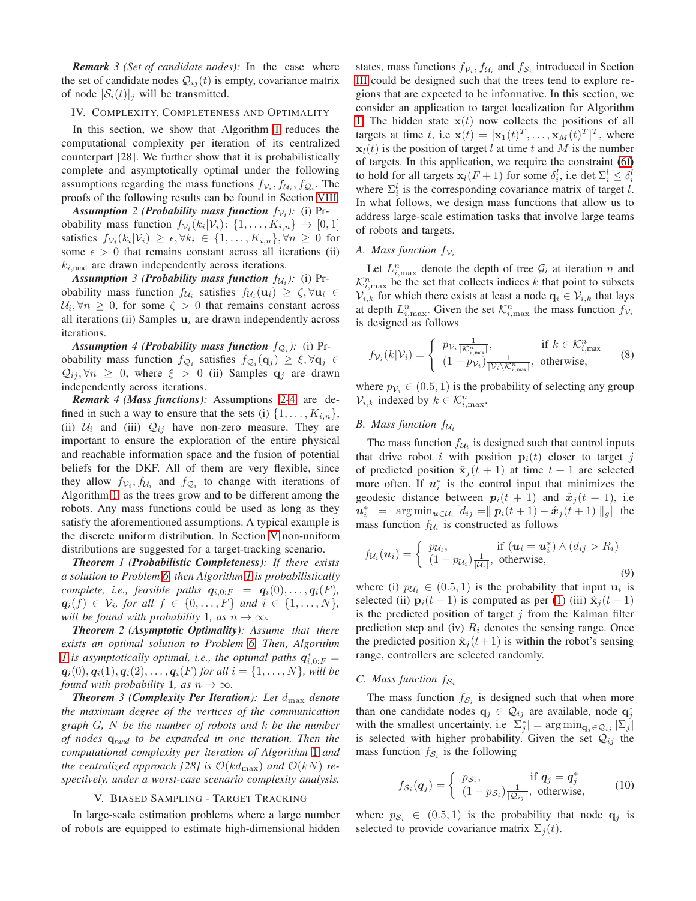*Remark 3 (Set of candidate nodes):* In the case where the set of candidate nodes  $Q_{ij}(t)$  is empty, covariance matrix of node  $[\mathcal{S}_i(t)]_i$  will be transmitted.

## IV. COMPLEXITY, COMPLETENESS AND OPTIMALITY

In this section, we show that Algorithm [1](#page-2-3) reduces the computational complexity per iteration of its centralized counterpart [28]. We further show that it is probabilistically complete and asymptotically optimal under the following assumptions regarding the mass functions  $f_{\mathcal{V}_i}, f_{\mathcal{U}_i}, f_{\mathcal{Q}_i}$ . The proofs of the following results can be found in Section [VIII.](#page-7-0)

<span id="page-4-0"></span>**Assumption** 2 (**Probability mass function**  $f_{\mathcal{V}_i}$ ): (i) Probability mass function  $f_{\mathcal{V}_i}(k_i|\mathcal{V}_i)$ :  $\{1,\ldots,K_{i,n}\}\rightarrow [0,1]$ satisfies  $f_{\mathcal{V}_i}(k_i|\mathcal{V}_i) \geq \epsilon, \forall k_i \in \{1,\ldots,K_{i,n}\}, \forall n \geq 0$  for some  $\epsilon > 0$  that remains constant across all iterations (ii)  $k_{i, \text{rand}}$  are drawn independently across iterations.

**Assumption** 3 (Probability mass function  $f_{\mathcal{U}_i}$ ): (i) Probability mass function  $f_{\mathcal{U}_i}$  satisfies  $f_{\mathcal{U}_i}(\mathbf{u}_i) \geq \zeta, \forall \mathbf{u}_i \in$  $\mathcal{U}_i, \forall n \geq 0$ , for some  $\zeta > 0$  that remains constant across all iterations (ii) Samples  $\mathbf{u}_i$  are drawn independently across iterations.

<span id="page-4-1"></span>**Assumption** 4 (**Probability mass function**  $f_{\mathcal{Q}_i}$ ): (i) Probability mass function  $f_{\mathcal{Q}_i}$  satisfies  $f_{\mathcal{Q}_i}(\mathbf{q}_j) \geq \xi, \forall \mathbf{q}_j \in$  $\mathcal{Q}_{ij}, \forall n \geq 0$ , where  $\xi > 0$  (ii) Samples  $\mathbf{q}_j$  are drawn independently across iterations.

*Remark 4 (Mass functions):* Assumptions [2-](#page-4-0)[4](#page-4-1) are defined in such a way to ensure that the sets (i)  $\{1, \ldots, K_{i,n}\},\$ (ii)  $U_i$  and (iii)  $Q_{ij}$  have non-zero measure. They are important to ensure the exploration of the entire physical and reachable information space and the fusion of potential beliefs for the DKF. All of them are very flexible, since they allow  $f_{\mathcal{V}_i}, f_{\mathcal{U}_i}$  and  $f_{\mathcal{Q}_i}$  to change with iterations of Algorithm [1,](#page-2-3) as the trees grow and to be different among the robots. Any mass functions could be used as long as they satisfy the aforementioned assumptions. A typical example is the discrete uniform distribution. In Section [V](#page-4-2) non-uniform distributions are suggested for a target-tracking scenario.

<span id="page-4-3"></span>*Theorem 1 (Probabilistic Completeness): If there exists a solution to Problem [6,](#page-2-1) then Algorithm [1](#page-2-3) is probabilistically complete, i.e., feasible paths*  $q_{i,0:F} = q_i(0), \ldots, q_i(F)$ *,*  $q_i(f) \in \mathcal{V}_i$ , for all  $f \in \{0, ..., F\}$  and  $i \in \{1, ..., N\}$ , *will be found with probability* 1*, as*  $n \rightarrow \infty$ *.* 

<span id="page-4-4"></span>*Theorem 2 (Asymptotic Optimality): Assume that there exists an optimal solution to Problem [6.](#page-2-1) Then, Algorithm [1](#page-2-3)* is asymptotically optimal, i.e., the optimal paths  $q_{i,0:F}^* =$  $q_i(0), q_i(1), q_i(2), \ldots, q_i(F)$  *for all*  $i = \{1, \ldots, N\}$ *, will be found with probability* 1*, as*  $n \rightarrow \infty$ *.* 

<span id="page-4-5"></span>*Theorem 3 (Complexity Per Iteration): Let*  $d_{\text{max}}$  *denote the maximum degree of the vertices of the communication graph* G*,* N *be the number of robots and* k *be the number of nodes* q*rand to be expanded in one iteration. Then the computational complexity per iteration of Algorithm* [1](#page-2-3) *and the centralized approach [28] is*  $\mathcal{O}(k d_{\text{max}})$  *and*  $\mathcal{O}(k N)$  *respectively, under a worst-case scenario complexity analysis.*

#### V. BIASED SAMPLING - TARGET TRACKING

<span id="page-4-2"></span>In large-scale estimation problems where a large number of robots are equipped to estimate high-dimensional hidden

states, mass functions  $f_{V_i}$ ,  $f_{U_i}$  and  $f_{S_i}$  introduced in Section [III](#page-2-26) could be designed such that the trees tend to explore regions that are expected to be informative. In this section, we consider an application to target localization for Algorithm [1.](#page-2-3) The hidden state  $x(t)$  now collects the positions of all targets at time t, i.e  $\mathbf{x}(t) = [\mathbf{x}_1(t)^T, \dots, \mathbf{x}_M(t)^T]^T$ , where  $x_l(t)$  is the position of target l at time t and M is the number of targets. In this application, we require the constraint [\(6f\)](#page-2-27) to hold for all targets  $\mathbf{x}_l(F+1)$  for some  $\delta_i^l$ , i.e  $\det \Sigma_i^l \leq \delta_i^l$ where  $\Sigma_i^l$  is the corresponding covariance matrix of target l. In what follows, we design mass functions that allow us to address large-scale estimation tasks that involve large teams of robots and targets.

## *A. Mass function*  $f_{\mathcal{V}_i}$

Let  $L_{i,\text{max}}^n$  denote the depth of tree  $\mathcal{G}_i$  at iteration n and  $\mathcal{K}_{i,\text{max}}^n$  be the set that collects indices k that point to subsets  $V_{i,k}$  for which there exists at least a node  $\mathbf{q}_i \in V_{i,k}$  that lays at depth  $L_{i,\text{max}}^n$ . Given the set  $\mathcal{K}_{i,\text{max}}^n$  the mass function  $f_{\mathcal{V}_i}$ is designed as follows

$$
f_{\mathcal{V}_i}(k|\mathcal{V}_i) = \begin{cases} p_{\mathcal{V}_i} \frac{1}{|\mathcal{K}_{i,\text{max}}^n|}, & \text{if } k \in \mathcal{K}_{i,\text{max}}^n\\ (1 - p_{\mathcal{V}_i}) \frac{1}{|\mathcal{V}_i \setminus \mathcal{K}_{i,\text{max}}^n|}, & \text{otherwise,} \end{cases}
$$
(8)

where  $p_{V_i} \in (0.5, 1)$  is the probability of selecting any group  $\mathcal{V}_{i,k}$  indexed by  $k \in \mathcal{K}_{i,\text{max}}^n$ .

## *B. Mass function*  $f_{\mathcal{U}_i}$

The mass function  $f_{\mathcal{U}_i}$  is designed such that control inputs that drive robot i with position  $p_i(t)$  closer to target j of predicted position  $\hat{\mathbf{x}}_i(t+1)$  at time  $t+1$  are selected more often. If  $u_i^*$  is the control input that minimizes the geodesic distance between  $p_i(t + 1)$  and  $\hat{x}_j(t + 1)$ , i.e  $u_i^*$  =  $\arg \min_{u \in \mathcal{U}_i} [d_{ij} = || p_i(t+1) - \hat{x}_j(t+1) ||_g]$  the mass function  $f_{\mathcal{U}_i}$  is constructed as follows

$$
f_{\mathcal{U}_i}(\boldsymbol{u}_i) = \begin{cases} p_{\mathcal{U}_i}, & \text{if } (\boldsymbol{u}_i = \boldsymbol{u}_i^*) \wedge (d_{ij} > R_i) \\ (1 - p_{\mathcal{U}_i}) \frac{1}{|\mathcal{U}_i|}, & \text{otherwise,} \end{cases}
$$
\n
$$
(9)
$$

where (i)  $p_{\mathcal{U}_i} \in (0.5, 1)$  is the probability that input  $\mathbf{u}_i$  is selected (ii)  $\mathbf{p}_i(t+1)$  is computed as per [\(1\)](#page-1-10) (iii)  $\hat{\mathbf{x}}_j(t+1)$ is the predicted position of target  $j$  from the Kalman filter prediction step and (iv)  $R_i$  denotes the sensing range. Once the predicted position  $\hat{\mathbf{x}}_i(t+1)$  is within the robot's sensing range, controllers are selected randomly.

## *C. Mass function*  $f_{\mathcal{S}_i}$

The mass function  $f_{\mathcal{S}_i}$  is designed such that when more than one candidate nodes  $\mathbf{q}_j \in \mathcal{Q}_{ij}$  are available, node  $\mathbf{q}_j^*$ with the smallest uncertainty, i.e  $|\sum_{j}^{*}| = \arg \min_{\mathbf{q}_j \in \mathcal{Q}_{ij}} |\sum_{j}|$ is selected with higher probability. Given the set  $\mathcal{Q}_{ij}$  the mass function  $f_{\mathcal{S}_i}$  is the following

$$
f_{\mathcal{S}_i}(\boldsymbol{q}_j) = \begin{cases} p_{\mathcal{S}_i}, & \text{if } \boldsymbol{q}_j = \boldsymbol{q}_j^*\\ (1 - p_{\mathcal{S}_i}) \frac{1}{|\mathcal{Q}_{ij}|}, & \text{otherwise,} \end{cases}
$$
(10)

where  $p_{\mathcal{S}_i} \in (0.5, 1)$  is the probability that node  $\mathbf{q}_i$  is selected to provide covariance matrix  $\Sigma_i(t)$ .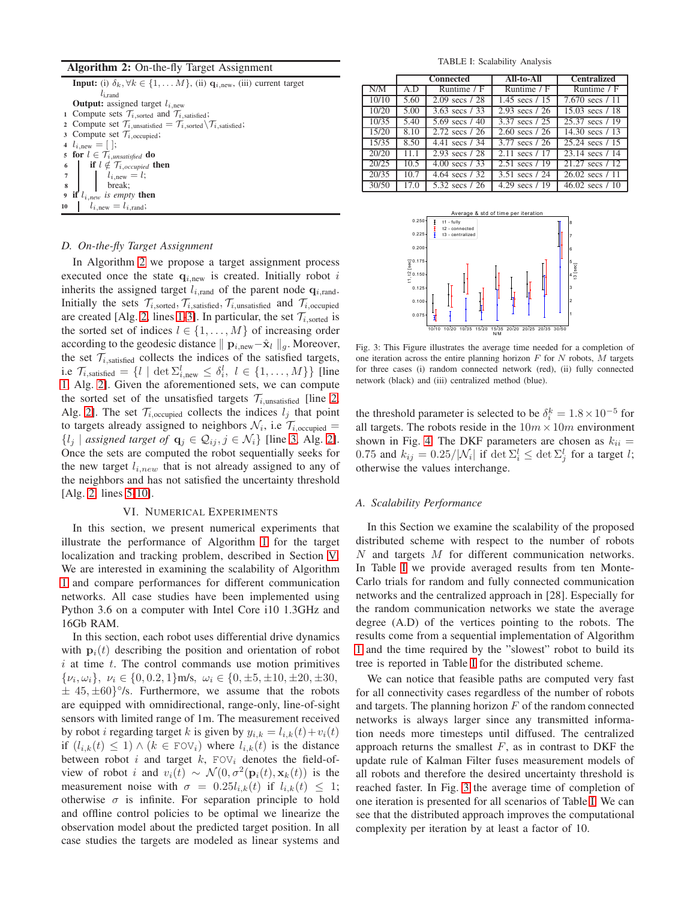#### <span id="page-5-0"></span>Algorithm 2: On-the-fly Target Assignment

<span id="page-5-4"></span><span id="page-5-3"></span><span id="page-5-2"></span><span id="page-5-1"></span>**Input:** (i)  $\delta_k, \forall k \in \{1, \dots M\}$ , (ii)  $\mathbf{q}_{i, new}$ , (iii) current target  $l_{i,rand}$ **Output:** assigned target  $l_{i, new}$ 1 Compute sets  $\mathcal{T}_{i,\text{sorted}}$  and  $\mathcal{T}_{i,\text{satisfied}}$ ; 2 Compute set  $\mathcal{T}_{i,\text{unsatisfied}} = \mathcal{T}_{i,\text{sorted}} \setminus \mathcal{T}_{i,\text{satisfied}}$ ; 3 Compute set  $\mathcal{T}_{i,\text{occupied}}$ ; 4  $l_{i, new} = [$  ]; 5 for  $l \in \mathcal{T}_{i,unsatisfied}$  do 6 if  $l \notin \mathcal{T}_{i,occupied}$  then  $l_{i,\text{new}} = l;$ <sup>8</sup> break; 9 if  $l_{i,new}$  *is empty* then<br>10  $l_{i,new} = l_{i,rand}$ ; 10  $l_{i,\text{new}} = l_{i,\text{rand}};$ 

#### <span id="page-5-5"></span>*D. On-the-fly Target Assignment*

In Algorithm [2](#page-5-0) we propose a target assignment process executed once the state  $q_{i, new}$  is created. Initially robot i inherits the assigned target  $l_{i,\text{rand}}$  of the parent node  $q_{i,\text{rand}}$ . Initially the sets  $\mathcal{T}_{i,\text{sorted}}, \mathcal{T}_{i,\text{satisfied}}, \mathcal{T}_{i,\text{unsatisfied}}$  and  $\mathcal{T}_{i,\text{occupied}}$ are created [Alg. [2,](#page-5-0) lines [1-](#page-5-1)[3\]](#page-5-2). In particular, the set  $\mathcal{T}_{i, \text{sorted}}$  is the sorted set of indices  $l \in \{1, \ldots, M\}$  of increasing order according to the geodesic distance  $||\mathbf{p}_{i,\text{new}}-\hat{\mathbf{x}}_l||_q$ . Moreover, the set  $\mathcal{T}_{i$ , satisfied collects the indices of the satisfied targets, i.e  $\mathcal{T}_{i,\text{satisfied}} = \{l \mid \det \Sigma_{i,\text{new}}^l \leq \delta_i^l, l \in \{1,\dots,M\}\}\$  [line [1,](#page-5-1) Alg. [2\]](#page-5-0). Given the aforementioned sets, we can compute the sorted set of the unsatisfied targets  $\mathcal{T}_{i,\text{unsatisfied}}$  [line [2,](#page-5-3) Alg. [2\]](#page-5-0). The set  $\mathcal{T}_{i,\text{occupied}}$  collects the indices  $l_j$  that point to targets already assigned to neighbors  $\mathcal{N}_i$ , i.e  $\mathcal{T}_{i,\text{occupied}} =$  $\{l_j \mid assigned\ target\ of\ \mathbf{q}_j \in \mathcal{Q}_{ij}, j \in \mathcal{N}_i\}$  [line [3,](#page-5-2) Alg. [2\]](#page-5-0). Once the sets are computed the robot sequentially seeks for the new target  $l_{i,new}$  that is not already assigned to any of the neighbors and has not satisfied the uncertainty threshold [Alg. [2,](#page-5-0) lines [5-](#page-5-4)[10\]](#page-5-5).

## VI. NUMERICAL EXPERIMENTS

In this section, we present numerical experiments that illustrate the performance of Algorithm [1](#page-2-3) for the target localization and tracking problem, described in Section [V.](#page-4-2) We are interested in examining the scalability of Algorithm [1](#page-2-3) and compare performances for different communication networks. All case studies have been implemented using Python 3.6 on a computer with Intel Core i10 1.3GHz and 16Gb RAM.

In this section, each robot uses differential drive dynamics with  $p_i(t)$  describing the position and orientation of robot  $i$  at time  $t$ . The control commands use motion primitives  $\{\nu_i, \omega_i\}, \ \nu_i \in \{0, 0.2, 1\}$ m/s,  $\omega_i \in \{0, \pm 5, \pm 10, \pm 20, \pm 30,$  $\pm$  45,  $\pm$ 60} $\degree$ /s. Furthermore, we assume that the robots are equipped with omnidirectional, range-only, line-of-sight sensors with limited range of 1m. The measurement received by robot *i* regarding target k is given by  $y_{i,k} = l_{i,k}(t) + v_i(t)$ if  $(l_{i,k}(t) \leq 1) \wedge (k \in F\text{OV}_i)$  where  $l_{i,k}(t)$  is the distance between robot i and target  $k$ ,  $FOV_i$  denotes the field-ofview of robot *i* and  $v_i(t) \sim \mathcal{N}(0, \sigma^2(\mathbf{p}_i(t), \mathbf{x}_k(t))$  is the measurement noise with  $\sigma = 0.25l_{i,k}(t)$  if  $l_{i,k}(t) \leq 1$ ; otherwise  $\sigma$  is infinite. For separation principle to hold and offline control policies to be optimal we linearize the observation model about the predicted target position. In all case studies the targets are modeled as linear systems and

TABLE I: Scalability Analysis

<span id="page-5-6"></span>

|       | <b>Connected</b> |                          | <b>All-to-All</b>        | <b>Centralized</b>        |
|-------|------------------|--------------------------|--------------------------|---------------------------|
| N/M   | A.D              | Runtime $/F$             | Runtime $/F$             | Runtime $/F$              |
| 10/10 | 5.60             | $2.09 \text{ secs} / 28$ | 1.45 secs $/ 15$         | 7.670 secs $/11$          |
| 10/20 | 5.00             | 3.63 secs $/33$          | 2.93 secs $/26$          | $15.03 \text{ secs} / 18$ |
| 10/35 | 5.40             | 5.69 secs $/40$          | 3.37 secs / 25           | 25.37 secs / 19           |
| 15/20 | 8.10             | 2.72 secs / 26           | $2.60 \text{ secs} / 26$ | 14.30 secs $/13$          |
| 15/35 | 8.50             | 4.41 $\sec s / 34$       | 3.77 secs / 26           | 25.24 secs / 15           |
| 20/20 | 11.1             | 2.93 secs / 28           | 2.11 secs / 17           | 23.14 secs / 14           |
| 20/25 | 10.5             | 4.00 secs $/33$          | 2.51 secs $/19$          | 21.27 secs / 12           |
| 20/35 | 10.7             | 4.64 secs $/32$          | 3.51 secs / 24           | $26.02 \text{ secs} / 11$ |
| 30/50 | 17.0             | 5.32 secs / 26           | 4.29 $\sec s / 19$       | $46.02 \text{ secs} / 10$ |

<span id="page-5-7"></span>

Fig. 3: This Figure illustrates the average time needed for a completion of one iteration across the entire planning horizon  $F$  for  $N$  robots,  $M$  targets for three cases (i) random connected network (red), (ii) fully connected network (black) and (iii) centralized method (blue).

the threshold parameter is selected to be  $\delta_i^k = 1.8 \times 10^{-5}$  for all targets. The robots reside in the  $10m \times 10m$  environment shown in Fig. [4.](#page-6-0) The DKF parameters are chosen as  $k_{ii} =$ 0.75 and  $k_{ij} = 0.25 / |\mathcal{N}_i|$  if  $\det \Sigma_i^l \leq \det \Sigma_j^l$  for a target l; otherwise the values interchange.

#### *A. Scalability Performance*

In this Section we examine the scalability of the proposed distributed scheme with respect to the number of robots N and targets M for different communication networks. In Table [I](#page-5-6) we provide averaged results from ten Monte-Carlo trials for random and fully connected communication networks and the centralized approach in [28]. Especially for the random communication networks we state the average degree (A.D) of the vertices pointing to the robots. The results come from a sequential implementation of Algorithm [1](#page-2-3) and the time required by the "slowest" robot to build its tree is reported in Table [I](#page-5-6) for the distributed scheme.

We can notice that feasible paths are computed very fast for all connectivity cases regardless of the number of robots and targets. The planning horizon  $F$  of the random connected networks is always larger since any transmitted information needs more timesteps until diffused. The centralized approach returns the smallest  $F$ , as in contrast to DKF the update rule of Kalman Filter fuses measurement models of all robots and therefore the desired uncertainty threshold is reached faster. In Fig. [3](#page-5-7) the average time of completion of one iteration is presented for all scenarios of Table [I.](#page-5-6) We can see that the distributed approach improves the computational complexity per iteration by at least a factor of 10.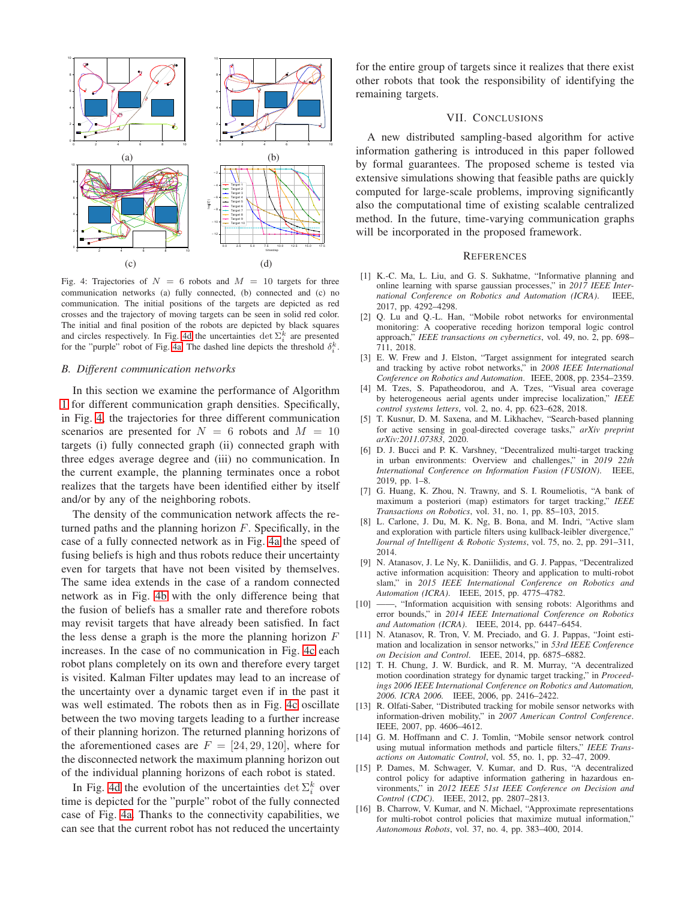<span id="page-6-0"></span>

Fig. 4: Trajectories of  $N = 6$  robots and  $M = 10$  targets for three communication networks (a) fully connected, (b) connected and (c) no communication. The initial positions of the targets are depicted as red crosses and the trajectory of moving targets can be seen in solid red color. The initial and final position of the robots are depicted by black squares and circles respectively. In Fig. [4d](#page-6-0) the uncertainties  $\det \sum_{i=1}^{k}$  are presented for the "purple" robot of Fig. [4a.](#page-6-0) The dashed line depicts the threshold  $\delta_i^k$ .

## *B. Different communication networks*

In this section we examine the performance of Algorithm [1](#page-2-3) for different communication graph densities. Specifically, in Fig. [4,](#page-6-0) the trajectories for three different communication scenarios are presented for  $N = 6$  robots and  $M = 10$ targets (i) fully connected graph (ii) connected graph with three edges average degree and (iii) no communication. In the current example, the planning terminates once a robot realizes that the targets have been identified either by itself and/or by any of the neighboring robots.

The density of the communication network affects the returned paths and the planning horizon  $F$ . Specifically, in the case of a fully connected network as in Fig. [4a](#page-6-0) the speed of fusing beliefs is high and thus robots reduce their uncertainty even for targets that have not been visited by themselves. The same idea extends in the case of a random connected network as in Fig. [4b](#page-6-0) with the only difference being that the fusion of beliefs has a smaller rate and therefore robots may revisit targets that have already been satisfied. In fact the less dense a graph is the more the planning horizon  $F$ increases. In the case of no communication in Fig. [4c](#page-6-0) each robot plans completely on its own and therefore every target is visited. Kalman Filter updates may lead to an increase of the uncertainty over a dynamic target even if in the past it was well estimated. The robots then as in Fig. [4c](#page-6-0) oscillate between the two moving targets leading to a further increase of their planning horizon. The returned planning horizons of the aforementioned cases are  $F = [24, 29, 120]$ , where for the disconnected network the maximum planning horizon out of the individual planning horizons of each robot is stated.

In Fig. [4d](#page-6-0) the evolution of the uncertainties  $\det \sum_{i=1}^{k}$  over time is depicted for the "purple" robot of the fully connected case of Fig. [4a.](#page-6-0) Thanks to the connectivity capabilities, we can see that the current robot has not reduced the uncertainty for the entire group of targets since it realizes that there exist other robots that took the responsibility of identifying the remaining targets.

# VII. CONCLUSIONS

A new distributed sampling-based algorithm for active information gathering is introduced in this paper followed by formal guarantees. The proposed scheme is tested via extensive simulations showing that feasible paths are quickly computed for large-scale problems, improving significantly also the computational time of existing scalable centralized method. In the future, time-varying communication graphs will be incorporated in the proposed framework.

#### **REFERENCES**

- [1] K.-C. Ma, L. Liu, and G. S. Sukhatme, "Informative planning and online learning with sparse gaussian processes," in *2017 IEEE International Conference on Robotics and Automation (ICRA)*. IEEE, 2017, pp. 4292–4298.
- [2] Q. Lu and Q.-L. Han, "Mobile robot networks for environmental monitoring: A cooperative receding horizon temporal logic control approach," *IEEE transactions on cybernetics*, vol. 49, no. 2, pp. 698– 711, 2018.
- [3] E. W. Frew and J. Elston, "Target assignment for integrated search and tracking by active robot networks," in *2008 IEEE International Conference on Robotics and Automation*. IEEE, 2008, pp. 2354–2359.
- [4] M. Tzes, S. Papatheodorou, and A. Tzes, "Visual area coverage by heterogeneous aerial agents under imprecise localization," *IEEE control systems letters*, vol. 2, no. 4, pp. 623–628, 2018.
- [5] T. Kusnur, D. M. Saxena, and M. Likhachev, "Search-based planning for active sensing in goal-directed coverage tasks," *arXiv preprint arXiv:2011.07383*, 2020.
- [6] D. J. Bucci and P. K. Varshney, "Decentralized multi-target tracking in urban environments: Overview and challenges," in *2019 22th International Conference on Information Fusion (FUSION)*. IEEE, 2019, pp. 1–8.
- [7] G. Huang, K. Zhou, N. Trawny, and S. I. Roumeliotis, "A bank of maximum a posteriori (map) estimators for target tracking," *IEEE Transactions on Robotics*, vol. 31, no. 1, pp. 85–103, 2015.
- [8] L. Carlone, J. Du, M. K. Ng, B. Bona, and M. Indri, "Active slam and exploration with particle filters using kullback-leibler divergence," *Journal of Intelligent & Robotic Systems*, vol. 75, no. 2, pp. 291–311, 2014.
- [9] N. Atanasov, J. Le Ny, K. Daniilidis, and G. J. Pappas, "Decentralized active information acquisition: Theory and application to multi-robot slam," in *2015 IEEE International Conference on Robotics and Automation (ICRA)*. IEEE, 2015, pp. 4775–4782.
- [10] ——, "Information acquisition with sensing robots: Algorithms and error bounds," in *2014 IEEE International Conference on Robotics and Automation (ICRA)*. IEEE, 2014, pp. 6447–6454.
- [11] N. Atanasov, R. Tron, V. M. Preciado, and G. J. Pappas, "Joint estimation and localization in sensor networks," in *53rd IEEE Conference on Decision and Control*. IEEE, 2014, pp. 6875–6882.
- [12] T. H. Chung, J. W. Burdick, and R. M. Murray, "A decentralized motion coordination strategy for dynamic target tracking," in *Proceedings 2006 IEEE International Conference on Robotics and Automation, 2006. ICRA 2006.* IEEE, 2006, pp. 2416–2422.
- [13] R. Olfati-Saber, "Distributed tracking for mobile sensor networks with information-driven mobility," in *2007 American Control Conference*. IEEE, 2007, pp. 4606–4612.
- [14] G. M. Hoffmann and C. J. Tomlin, "Mobile sensor network control using mutual information methods and particle filters," *IEEE Transactions on Automatic Control*, vol. 55, no. 1, pp. 32–47, 2009.
- [15] P. Dames, M. Schwager, V. Kumar, and D. Rus, "A decentralized control policy for adaptive information gathering in hazardous environments," in *2012 IEEE 51st IEEE Conference on Decision and Control (CDC)*. IEEE, 2012, pp. 2807–2813.
- [16] B. Charrow, V. Kumar, and N. Michael, "Approximate representations for multi-robot control policies that maximize mutual information," *Autonomous Robots*, vol. 37, no. 4, pp. 383–400, 2014.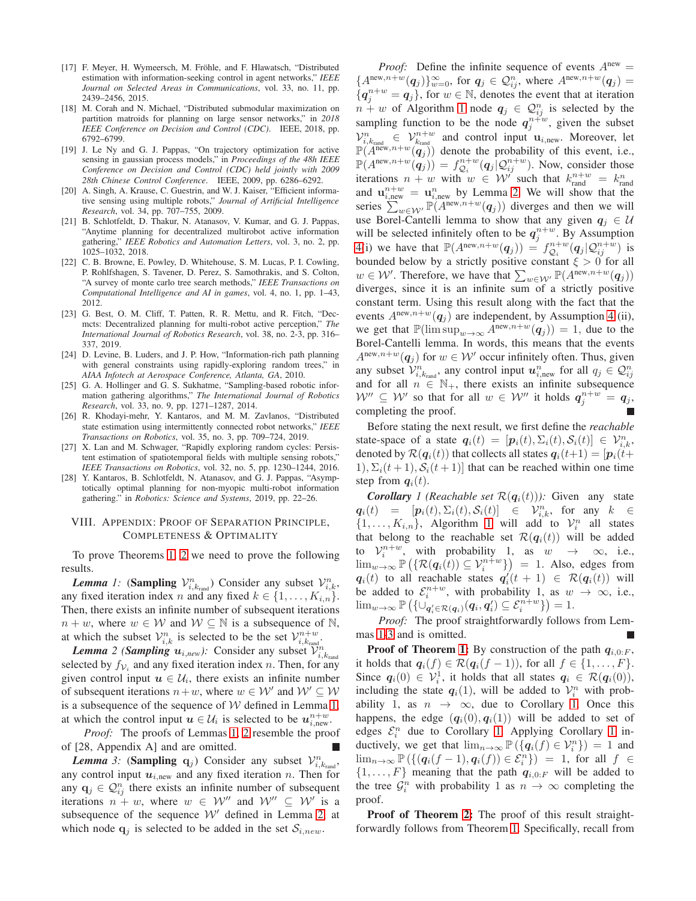- [17] F. Meyer, H. Wymeersch, M. Fröhle, and F. Hlawatsch, "Distributed estimation with information-seeking control in agent networks," *IEEE Journal on Selected Areas in Communications*, vol. 33, no. 11, pp. 2439–2456, 2015.
- [18] M. Corah and N. Michael, "Distributed submodular maximization on partition matroids for planning on large sensor networks," in *2018 IEEE Conference on Decision and Control (CDC)*. IEEE, 2018, pp. 6792–6799.
- [19] J. Le Ny and G. J. Pappas, "On trajectory optimization for active sensing in gaussian process models," in *Proceedings of the 48h IEEE Conference on Decision and Control (CDC) held jointly with 2009 28th Chinese Control Conference*. IEEE, 2009, pp. 6286–6292.
- [20] A. Singh, A. Krause, C. Guestrin, and W. J. Kaiser, "Efficient informative sensing using multiple robots," *Journal of Artificial Intelligence Research*, vol. 34, pp. 707–755, 2009.
- [21] B. Schlotfeldt, D. Thakur, N. Atanasov, V. Kumar, and G. J. Pappas, "Anytime planning for decentralized multirobot active information gathering," *IEEE Robotics and Automation Letters*, vol. 3, no. 2, pp. 1025–1032, 2018.
- [22] C. B. Browne, E. Powley, D. Whitehouse, S. M. Lucas, P. I. Cowling, P. Rohlfshagen, S. Tavener, D. Perez, S. Samothrakis, and S. Colton, "A survey of monte carlo tree search methods," *IEEE Transactions on Computational Intelligence and AI in games*, vol. 4, no. 1, pp. 1–43, 2012.
- [23] G. Best, O. M. Cliff, T. Patten, R. R. Mettu, and R. Fitch, "Decmcts: Decentralized planning for multi-robot active perception," *The International Journal of Robotics Research*, vol. 38, no. 2-3, pp. 316– 337, 2019.
- [24] D. Levine, B. Luders, and J. P. How, "Information-rich path planning with general constraints using rapidly-exploring random trees," in *AIAA Infotech at Aerospace Conference, Atlanta, GA*, 2010.
- [25] G. A. Hollinger and G. S. Sukhatme, "Sampling-based robotic information gathering algorithms," *The International Journal of Robotics Research*, vol. 33, no. 9, pp. 1271–1287, 2014.
- [26] R. Khodayi-mehr, Y. Kantaros, and M. M. Zavlanos, "Distributed state estimation using intermittently connected robot networks," *IEEE Transactions on Robotics*, vol. 35, no. 3, pp. 709–724, 2019.
- [27] X. Lan and M. Schwager, "Rapidly exploring random cycles: Persistent estimation of spatiotemporal fields with multiple sensing robots," *IEEE Transactions on Robotics*, vol. 32, no. 5, pp. 1230–1244, 2016.
- [28] Y. Kantaros, B. Schlotfeldt, N. Atanasov, and G. J. Pappas, "Asymptotically optimal planning for non-myopic multi-robot information gathering." in *Robotics: Science and Systems*, 2019, pp. 22–26.

## <span id="page-7-0"></span>VIII. APPENDIX: PROOF OF SEPARATION PRINCIPLE, COMPLETENESS & OPTIMALITY

<span id="page-7-1"></span>To prove Theorems [1,](#page-4-3) [2](#page-4-4) we need to prove the following results.

**Lemma** 1: (Sampling  $V_{i,k_{\text{rand}}}^n$ ) Consider any subset  $V_{i,k}^n$ , any fixed iteration index n and any fixed  $k \in \{1, \ldots, K_{i,n}\}.$ Then, there exists an infinite number of subsequent iterations  $n + w$ , where  $w \in W$  and  $W \subseteq \mathbb{N}$  is a subsequence of  $\mathbb{N}$ , at which the subset  $\mathcal{V}_{i,k}^n$  is selected to be the set  $\mathcal{V}_{i,k_{\text{rand}}}^{n+w}$ .

<span id="page-7-2"></span>*Lemma* 2 (*Sampling*  $u_{i,new}$ ): Consider any subset  $\mathcal{V}_{i,k_{rand}}^n$ selected by  $f_{\mathcal{V}_i}$  and any fixed iteration index n. Then, for any given control input  $u \in \mathcal{U}_i$ , there exists an infinite number of subsequent iterations  $n+w$ , where  $w \in W'$  and  $W' \subseteq W$ is a subsequence of the sequence of  $W$  defined in Lemma [1,](#page-7-1) at which the control input  $u \in \mathcal{U}_i$  is selected to be  $u_{i,\text{new}}^{n+w}$ .

*Proof:* The proofs of Lemmas [1,](#page-7-1) [2](#page-7-2) resemble the proof of [28, Appendix A] and are omitted.

<span id="page-7-3"></span>**Lemma** 3: (Sampling  $q_j$ ) Consider any subset  $V_{i,k_{\text{rand}}}^n$ , any control input  $u_{i,\text{new}}$  and any fixed iteration n. Then for any  $\mathbf{q}_j \in \mathcal{Q}_{ij}^n$  there exists an infinite number of subsequent iterations  $n + w$ , where  $w \in \mathcal{W}''$  and  $\mathcal{W}'' \subseteq \mathcal{W}'$  is a subsequence of the sequence  $W'$  defined in Lemma [2,](#page-7-2) at which node  $q_i$  is selected to be added in the set  $S_{i,new}$ .

*Proof:* Define the infinite sequence of events  $A^{new} =$  ${A^{\text{new},n+w}(\boldsymbol{q}_j)}_{w=0}^{\infty}$ , for  $\boldsymbol{q}_j \in \mathcal{Q}_{ij}^n$ , where  $A^{\text{new},n+w}(\boldsymbol{q}_j)$  =  ${q_j^{n+w} = q_j}$ , for  $w \in \mathbb{N}$ , denotes the event that at iteration  $n + w$  of Algorithm [1](#page-2-3) node  $q_j \in \mathcal{Q}_{ij}^n$  is selected by the sampling function to be the node  $q_j^{n+ w}$ , given the subset  $\mathcal{V}_{i,k_{\text{rand}}}^n \in \mathcal{V}_{k_{\text{rand}}}^{n+w}$  and control input  $\mathbf{u}_{i,\text{new}}$ . Moreover, let  $\mathbb{P}(A^{\text{new},n+w}(\boldsymbol{q}_j))$  denote the probability of this event, i.e.,  $\mathbb{P}(A^{\text{new},n+w}(\boldsymbol{q}_j)) = f_{\mathcal{Q}_i}^{n+w}(\boldsymbol{q}_j | \mathcal{Q}_{ij}^{n+w}).$  Now, consider those iterations  $n + w$  with  $w \in \mathcal{W}$  such that  $k_{\text{rand}}^{n+w} = k_{\text{rand}}^n$ and  $\mathbf{u}_{i,\text{new}}^{n+w} = \mathbf{u}_{i,\text{new}}^n$  by Lemma [2.](#page-7-2) We will show that the series  $\sum_{w \in \mathcal{W}'} \mathbb{P}(A^{\text{new}, n+w}(\boldsymbol{q}_j))$  diverges and then we will use Borel-Cantelli lemma to show that any given  $q_i \in U$ will be selected infinitely often to be  $q_j^{n+w}$ . By Assumption [4\(](#page-4-1)i) we have that  $\mathbb{P}(A^{new,n+w}(\boldsymbol{q}_j)) = f_{\mathcal{Q}_i}^{n+w}(\boldsymbol{q}_j | \mathcal{Q}_{ij}^{n+w})$  is bounded below by a strictly positive constant  $\xi > 0$  for all  $w \in \mathcal{W}'$ . Therefore, we have that  $\sum_{w \in \mathcal{W}'} \mathbb{P}(A^{\text{new},n+w}(\boldsymbol{q}_j))$ diverges, since it is an infinite sum of a strictly positive constant term. Using this result along with the fact that the events  $A^{\text{new},n+w}(\boldsymbol{q}_i)$  are independent, by Assumption [4](#page-4-1) (ii), we get that  $\mathbb{P}(\limsup_{w\to\infty} A^{\text{new},n+w}(\boldsymbol{q}_j)) = 1$ , due to the Borel-Cantelli lemma. In words, this means that the events  $A^{\text{new},n+w}(\boldsymbol{q}_i)$  for  $w \in \mathcal{W}'$  occur infinitely often. Thus, given any subset  $\mathcal{V}^n_{i,k_\text{rand}}$ , any control input  $\mathbf{u}^n_{i,\text{new}}$  for all  $q_j \in \mathcal{Q}^n_{ij}$ and for all  $n \in \mathbb{N}_+$ , there exists an infinite subsequence  $\mathcal{W}''\subseteq\mathcal{W}'$  so that for all  $w\,\in\,\mathcal{W}''$  it holds  $\boldsymbol{q}_{j}^{n+w}\,=\,\boldsymbol{q}_{j},$ completing the proof.

Before stating the next result, we first define the *reachable* state-space of a state  $q_i(t) = [p_i(t), \Sigma_i(t), S_i(t)] \in \mathcal{V}_{i,k}^n$ , denoted by  $\mathcal{R}(\mathbf{q}_i(t))$  that collects all states  $\mathbf{q}_i(t+1) = [\mathbf{p}_i(t+1)]$ 1),  $\Sigma_i(t+1)$ ,  $S_i(t+1)$  that can be reached within one time step from  $q_i(t)$ .

<span id="page-7-4"></span>*Corollary 1* (*Reachable set*  $\mathcal{R}(q_i(t))$ *)*: Given any state  $q_i(t) = [p_i(t), \Sigma_i(t), \mathcal{S}_i(t)] \in \mathcal{V}_{i,k}^n$ , for any  $k \in$  $\{1, \ldots, K_{i,n}\},$  Algorithm [1](#page-2-3) will add to  $\mathcal{V}_i^n$  all states that belong to the reachable set  $\mathcal{R}(q_i(t))$  will be added to  $V_i^{n+w}$ , with probability 1, as  $w \rightarrow \infty$ , i.e.,  $\lim_{w\to\infty} \mathbb{P}\left(\{\mathcal{R}(\boldsymbol{q}_i(t))\subseteq\mathcal{V}_i^{n+w}\}\right) = 1$ . Also, edges from  $q_i(t)$  to all reachable states  $q'_i(t + 1) \in \mathcal{R}(q_i(t))$  will be added to  $\mathcal{E}_i^{n+w}$ , with probability 1, as  $w \to \infty$ , i.e.,  $\lim_{w\to\infty} \mathbb{P}\left( \{\cup_{\mathbf{q}'_i\in\mathcal{R}(\mathbf{q}_i)}(\mathbf{q}_i,\mathbf{q}'_i)\subseteq\mathcal{E}_i^{n+w}\}\right)=1.$ 

*Proof:* The proof straightforwardly follows from Lemmas [1-](#page-7-1)[3](#page-7-3) and is omitted.

**Proof of Theorem [1:](#page-4-3)** By construction of the path  $q_{i,0:F}$ , it holds that  $q_i(f) \in \mathcal{R}(q_i(f-1))$ , for all  $f \in \{1, ..., F\}$ . Since  $q_i(0) \in \mathcal{V}_i^1$ , it holds that all states  $q_i \in \mathcal{R}(q_i(0)),$ including the state  $q_i(1)$ , will be added to  $\mathcal{V}_i^n$  with probability 1, as  $n \to \infty$ , due to Corollary [1.](#page-7-4) Once this happens, the edge  $(q_i(0), q_i(1))$  will be added to set of edges  $\mathcal{E}_i^n$  due to Corollary [1.](#page-7-4) Applying Corollary [1](#page-7-4) inductively, we get that  $\lim_{n\to\infty} \mathbb{P}(\lbrace q_i(f) \in \mathcal{V}_i^n \rbrace) = 1$  and  $\lim_{n\to\infty} \mathbb{P}\left(\left\{\left(q_i(f-1),q_i(f)\right)\in\mathcal{E}_i^n\right\}\right) = 1$ , for all  $f \in$  $\{1, \ldots, F\}$  meaning that the path  $q_{i,0:F}$  will be added to the tree  $\mathcal{G}_i^n$  with probability 1 as  $n \to \infty$  completing the proof.

Proof of Theorem [2:](#page-4-4) The proof of this result straightforwardly follows from Theorem [1.](#page-4-3) Specifically, recall from